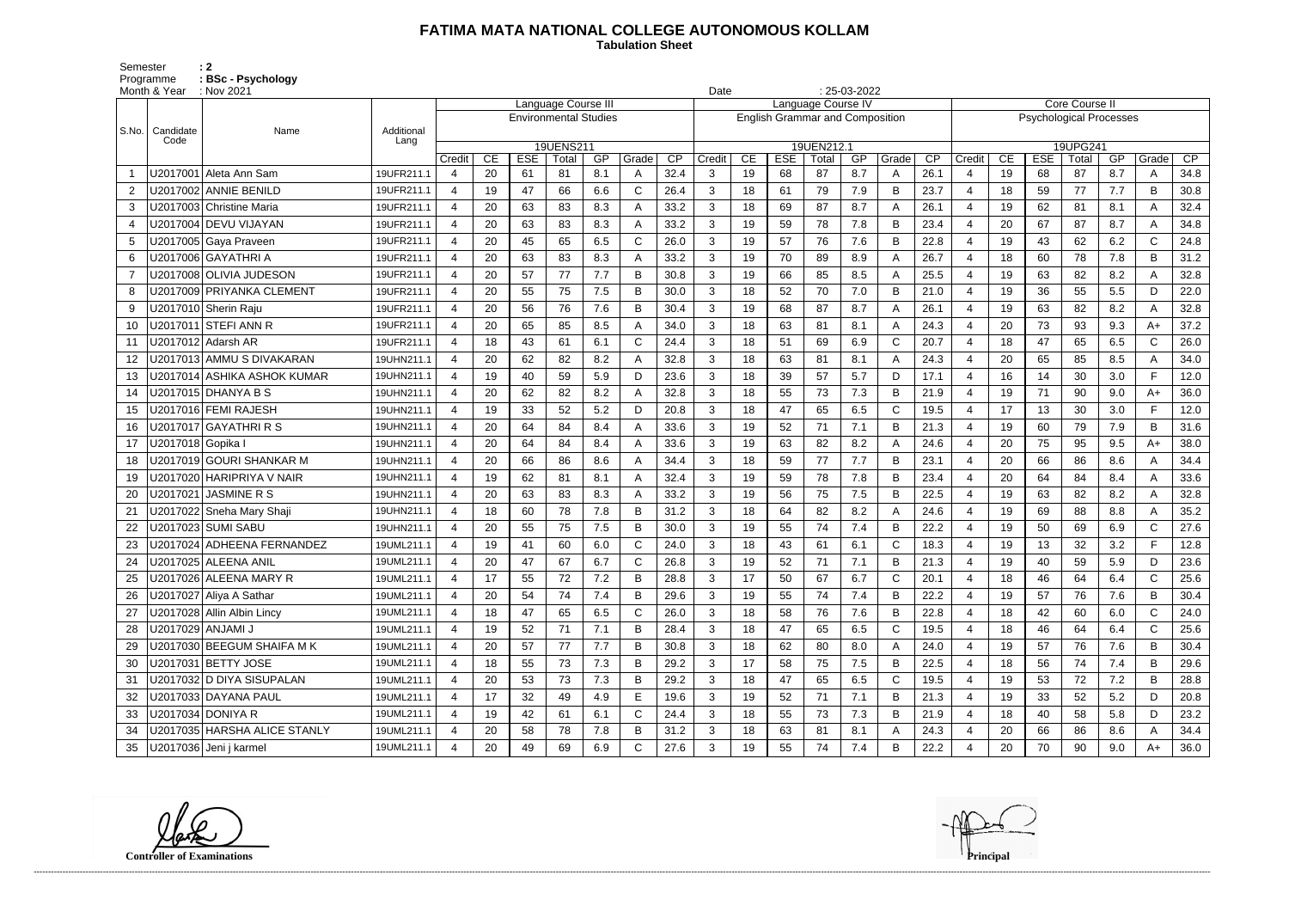## **FATIMA MATA NATIONAL COLLEGE AUTONOMOUS KOLLAM**

Semester : 2 Programme **: BSc - Psychology**  **Tabulation Sheet** 

|       | Month & Year        | $\therefore$ Nov 2021        |                                                     |                  |    |            |           |     |              |      |                                        | $: 25-03-2022$<br>Date |            |            |     |              |                 |                          |                                |            |          |     |              |      |  |
|-------|---------------------|------------------------------|-----------------------------------------------------|------------------|----|------------|-----------|-----|--------------|------|----------------------------------------|------------------------|------------|------------|-----|--------------|-----------------|--------------------------|--------------------------------|------------|----------|-----|--------------|------|--|
|       |                     |                              | Language Course III<br><b>Environmental Studies</b> |                  |    |            |           |     |              |      | Language Course IV                     |                        |            |            |     |              |                 |                          | Core Course II                 |            |          |     |              |      |  |
| S.No. | Candidate           | Name                         | Additional                                          |                  |    |            |           |     |              |      | <b>English Grammar and Composition</b> |                        |            |            |     |              |                 |                          | <b>Psychological Processes</b> |            |          |     |              |      |  |
|       | Code                |                              | Lang                                                |                  |    |            | 19UENS211 |     |              |      |                                        |                        |            | 19UEN212.1 |     |              |                 |                          |                                |            | 19UPG241 |     |              |      |  |
|       |                     |                              |                                                     | Credit           | CE | <b>ESE</b> | Total     | GP  | Grade        | CP   | Credit                                 | CE                     | <b>ESE</b> | Total      | GP  | Grade        | $\overline{CP}$ | Credit                   | CE                             | <b>ESE</b> | Total    | GP  | Grade        | CP   |  |
|       |                     | U2017001 Aleta Ann Sam       | 19UFR211.1                                          | 4                | 20 | -61        | 81        | 8.1 | A            | 32.4 | 3                                      | 19                     | 68         | 87         | 8.7 | A            | 26.1            | $\Delta$                 | 19                             | 68         | 87       | 8.7 | A            | 34.8 |  |
| 2     |                     | U2017002 ANNIE BENILD        | 19UFR211.1                                          | 4                | 19 | 47         | 66        | 6.6 | C            | 26.4 | 3                                      | 18                     | 61         | 79         | 7.9 | B            | 23.7            | $\overline{4}$           | 18                             | 59         | 77       | 7.7 | B            | 30.8 |  |
| 3     |                     | U2017003 Christine Maria     | 19UFR211.1                                          | 4                | 20 | 63         | 83        | 8.3 | А            | 33.2 | 3                                      | 18                     | 69         | 87         | 8.7 | A            | 26.1            | $\overline{4}$           | 19                             | 62         | 81       | 8.1 | A            | 32.4 |  |
| 4     |                     | U2017004 DEVU VIJAYAN        | 19UFR211.1                                          | 4                | 20 | 63         | 83        | 8.3 | A            | 33.2 | 3                                      | 19                     | 59         | 78         | 7.8 | B            | 23.4            | $\overline{4}$           | 20                             | 67         | 87       | 8.7 | A            | 34.8 |  |
| 5     |                     | U2017005 Gaya Praveen        | 19UFR211.1                                          | 4                | 20 | 45         | 65        | 6.5 | C            | 26.0 | 3                                      | 19                     | 57         | 76         | 7.6 | B            | 22.8            | $\overline{\mathcal{L}}$ | 19                             | 43         | 62       | 6.2 | $\mathsf{C}$ | 24.8 |  |
| 6     |                     | U2017006 GAYATHRI A          | 19UFR211.1                                          |                  | 20 | 63         | 83        | 8.3 |              | 33.2 | 3                                      | 19                     | 70         | 89         | 8.9 | A            | 26.7            | 4                        | 18                             | 60         | 78       | 7.8 | B            | 31.2 |  |
| -7    |                     | U2017008 OLIVIA JUDESON      | 19UFR211.1                                          | 4                | 20 | 57         | 77        | 7.7 | B            | 30.8 | 3                                      | 19                     | 66         | 85         | 8.5 | A            | 25.5            | -4                       | 19                             | 63         | 82       | 8.2 | A            | 32.8 |  |
| 8     |                     | U2017009 PRIYANKA CLEMENT    | 19UFR211.1                                          | 4                | 20 | 55         | 75        | 7.5 | В            | 30.0 | 3                                      | 18                     | 52         | 70         | 7.0 | B            | 21.0            | $\overline{4}$           | 19                             | 36         | 55       | 5.5 | D            | 22.0 |  |
| 9     |                     | U2017010 Sherin Raju         | 19UFR211.1                                          | 4                | 20 | 56         | 76        | 7.6 | В            | 30.4 | 3                                      | 19                     | 68         | 87         | 8.7 | A            | 26.1            | $\overline{4}$           | 19                             | 63         | 82       | 8.2 | A            | 32.8 |  |
| 10    |                     | U2017011 STEFI ANN R         | 19UFR211.1                                          | 4                | 20 | 65         | 85        | 8.5 | А            | 34.0 | 3                                      | 18                     | 63         | 81         | 8.1 | A            | 24.3            | $\overline{4}$           | 20                             | 73         | 93       | 9.3 | $A+$         | 37.2 |  |
| 11    |                     | U2017012   Adarsh AR         | 19UFR211.1                                          | $\boldsymbol{4}$ | 18 | 43         | 61        | 6.1 | C            | 24.4 | 3                                      | 18                     | 51         | 69         | 6.9 | C            | 20.7            | $\overline{4}$           | 18                             | 47         | 65       | 6.5 | $\mathsf{C}$ | 26.0 |  |
| 12    |                     | U2017013 AMMU S DIVAKARAN    | 19UHN211.1                                          | $\boldsymbol{4}$ | 20 | 62         | 82        | 8.2 | A            | 32.8 | 3                                      | 18                     | 63         | 81         | 8.1 | A            | 24.3            | $\overline{4}$           | 20                             | 65         | 85       | 8.5 | A            | 34.0 |  |
| 13    |                     | U2017014 ASHIKA ASHOK KUMAR  | 19UHN211.1                                          | 4                | 19 | 40         | 59        | 5.9 | D            | 23.6 | 3                                      | 18                     | 39         | 57         | 5.7 | D            | 17.1            | $\overline{4}$           | 16                             | 14         | 30       | 3.0 | F.           | 12.0 |  |
| 14    |                     |                              | 19UHN211.1                                          | 4                | 20 | 62         | 82        | 8.2 | A            | 32.8 | 3                                      | 18                     | 55         | 73         | 7.3 | B            | 21.9            | $\overline{4}$           | 19                             | 71         | 90       | 9.0 | $A+$         | 36.0 |  |
| 15    |                     | U2017016 FEMI RAJESH         | 19UHN211.1                                          | 4                | 19 | 33         | 52        | 5.2 | D            | 20.8 | 3                                      | 18                     | 47         | 65         | 6.5 | $\mathsf{C}$ | 19.5            | $\overline{4}$           | 17                             | 13         | 30       | 3.0 | F.           | 12.0 |  |
| 16    |                     | U2017017 GAYATHRI R S        | 19UHN211.1                                          | 4                | 20 | 64         | 84        | 8.4 |              | 33.6 | 3                                      | 19                     | 52         | 71         | 7.1 | B            | 21.3            | $\overline{A}$           | 19                             | 60         | 79       | 7.9 | B            | 31.6 |  |
| 17    | U2017018   Gopika I |                              | 19UHN211.1                                          | 4                | 20 | 64         | 84        | 8.4 | A            | 33.6 | 3                                      | 19                     | 63         | 82         | 8.2 | A            | 24.6            | -4                       | 20                             | 75         | 95       | 9.5 | $A+$         | 38.0 |  |
| 18    |                     | U2017019 GOURI SHANKAR M     | 19UHN211.1                                          | 4                | 20 | 66         | 86        | 8.6 | A            | 34.4 | 3                                      | 18                     | 59         | 77         | 7.7 | B            | 23.1            | $\overline{4}$           | 20                             | 66         | 86       | 8.6 | A            | 34.4 |  |
| 19    |                     | U2017020 HARIPRIYA V NAIR    | 19UHN211.1                                          | 4                | 19 | 62         | 81        | 8.1 | А            | 32.4 | 3                                      | 19                     | 59         | 78         | 7.8 | B            | 23.4            | $\overline{4}$           | 20                             | 64         | 84       | 8.4 |              | 33.6 |  |
| 20    |                     | U2017021   JASMINE R S       | 19UHN211.1                                          | 4                | 20 | 63         | 83        | 8.3 | А            | 33.2 | 3                                      | 19                     | 56         | 75         | 7.5 | B            | 22.5            | -4                       | 19                             | 63         | 82       | 8.2 | A            | 32.8 |  |
| 21    |                     | U2017022 Sneha Mary Shaji    | 19UHN211.1                                          | 4                | 18 | 60         | 78        | 7.8 | В            | 31.2 | 3                                      | 18                     | 64         | 82         | 8.2 | $\mathsf{A}$ | 24.6            | $\overline{A}$           | 19                             | 69         | 88       | 8.8 | A            | 35.2 |  |
| 22    |                     | U2017023 SUMI SABU           | 19UHN211.1                                          | 4                | 20 | 55         | 75        | 7.5 |              | 30.0 | 3                                      | 19                     | 55         | 74         | 7.4 | B            | 22.2            | $\overline{4}$           | 19                             | 50         | 69       | 6.9 | $\mathsf{C}$ | 27.6 |  |
| 23    |                     | U2017024 ADHEENA FERNANDEZ   | 19UML211.1                                          | $\overline{4}$   | 19 | 41         | 60        | 6.0 | C            | 24.0 | 3                                      | 18                     | 43         | 61         | 6.1 | $\mathsf C$  | 18.3            | -4                       | 19                             | 13         | 32       | 3.2 | F.           | 12.8 |  |
| 24    |                     | U2017025 ALEENA ANIL         | 19UML211.1                                          | 4                | 20 | 47         | 67        | 6.7 |              | 26.8 | 3                                      | 19                     | 52         | 71         | 7.1 | $\mathsf B$  | 21.3            | $\overline{4}$           | 19                             | 40         | 59       | 5.9 | D            | 23.6 |  |
| 25    |                     | U2017026 ALEENA MARY R       | 19UML211.1                                          | 4                | 17 | 55         | 72        | 7.2 | B            | 28.8 | 3                                      | 17                     | 50         | 67         | 6.7 | C            | 20.1            | 4                        | 18                             | 46         | 64       | 6.4 | $\mathsf{C}$ | 25.6 |  |
| 26    |                     | U2017027 Aliya A Sathar      | 19UML211.1                                          | 4                | 20 | 54         | 74        | 7.4 | В            | 29.6 | 3                                      | 19                     | 55         | 74         | 7.4 | B            | 22.2            | -4                       | 19                             | 57         | 76       | 7.6 | B            | 30.4 |  |
| 27    |                     | U2017028 Allin Albin Lincy   | 19UML211.1                                          | 4                | 18 | 47         | 65        | 6.5 | C            | 26.0 | 3                                      | 18                     | 58         | 76         | 7.6 | B            | 22.8            | $\overline{4}$           | 18                             | 42         | 60       | 6.0 | $\mathsf{C}$ | 24.0 |  |
| 28    |                     | U2017029 ANJAMI J            | 19UML211.1                                          | 4                | 19 | 52         | 71        | 7.1 | B            | 28.4 | 3 <sup>1</sup>                         | 18                     | 47         | 65         | 6.5 | C            | 19.5            | $\overline{4}$           | 18                             | 46         | 64       | 6.4 | $\mathsf{C}$ | 25.6 |  |
| 29    |                     | U2017030 BEEGUM SHAIFA M K   | 19UML211.1                                          | 4                | 20 | 57         | 77        | 7.7 | B            | 30.8 | 3                                      | 18                     | 62         | 80         | 8.0 | A            | 24.0            | $\overline{a}$           | 19                             | 57         | 76       | 7.6 | B            | 30.4 |  |
| 30    |                     | U2017031 BETTY JOSE          | 19UML211.1                                          | 4                | 18 | 55         | 73        | 7.3 | B            | 29.2 | $\mathbf{3}$                           | 17                     | 58         | 75         | 7.5 | B            | 22.5            | $\overline{4}$           | 18                             | 56         | 74       | 7.4 | B            | 29.6 |  |
| 31    |                     | U2017032 D DIYA SISUPALAN    | 19UML211.1                                          | 4                | 20 | 53         | 73        | 7.3 | B            | 29.2 | 3                                      | 18                     | 47         | 65         | 6.5 | C            | 19.5            | -4                       | 19                             | 53         | 72       | 7.2 | B            | 28.8 |  |
| 32    |                     | U2017033 DAYANA PAUL         | 19UML211.1                                          | 4                | 17 | 32         | 49        | 4.9 | E.           | 19.6 | 3                                      | 19                     | 52         | 71         | 7.1 | B            | 21.3            | -4                       | 19                             | 33         | 52       | 5.2 | D            | 20.8 |  |
| 33    |                     | U2017034 DONIYA R            | 19UML211.1                                          | 4                | 19 | 42         | 61        | 6.1 | $\mathsf{C}$ | 24.4 | 3                                      | 18                     | 55         | 73         | 7.3 | B            | 21.9            | -4                       | 18                             | 40         | 58       | 5.8 | D            | 23.2 |  |
| 34    |                     | U2017035 HARSHA ALICE STANLY | 19UML211.1                                          | 4                | 20 | 58         | 78        | 7.8 | B            | 31.2 | 3                                      | 18                     | 63         | 81         | 8.1 | A            | 24.3            | $\overline{4}$           | 20                             | 66         | 86       | 8.6 |              | 34.4 |  |
| 35    |                     | U2017036 Jeni j karmel       | 19UML211.1                                          | 4                | 20 | 49         | 69        | 6.9 | $\mathsf{C}$ | 27.6 | 3 <sup>1</sup>                         | 19                     | 55         | 74         | 7.4 | B            | 22.2            | -4                       | 20                             | 70         | 90       | 9.0 | $A+$         | 36.0 |  |

**Controller of Examinations Principal**

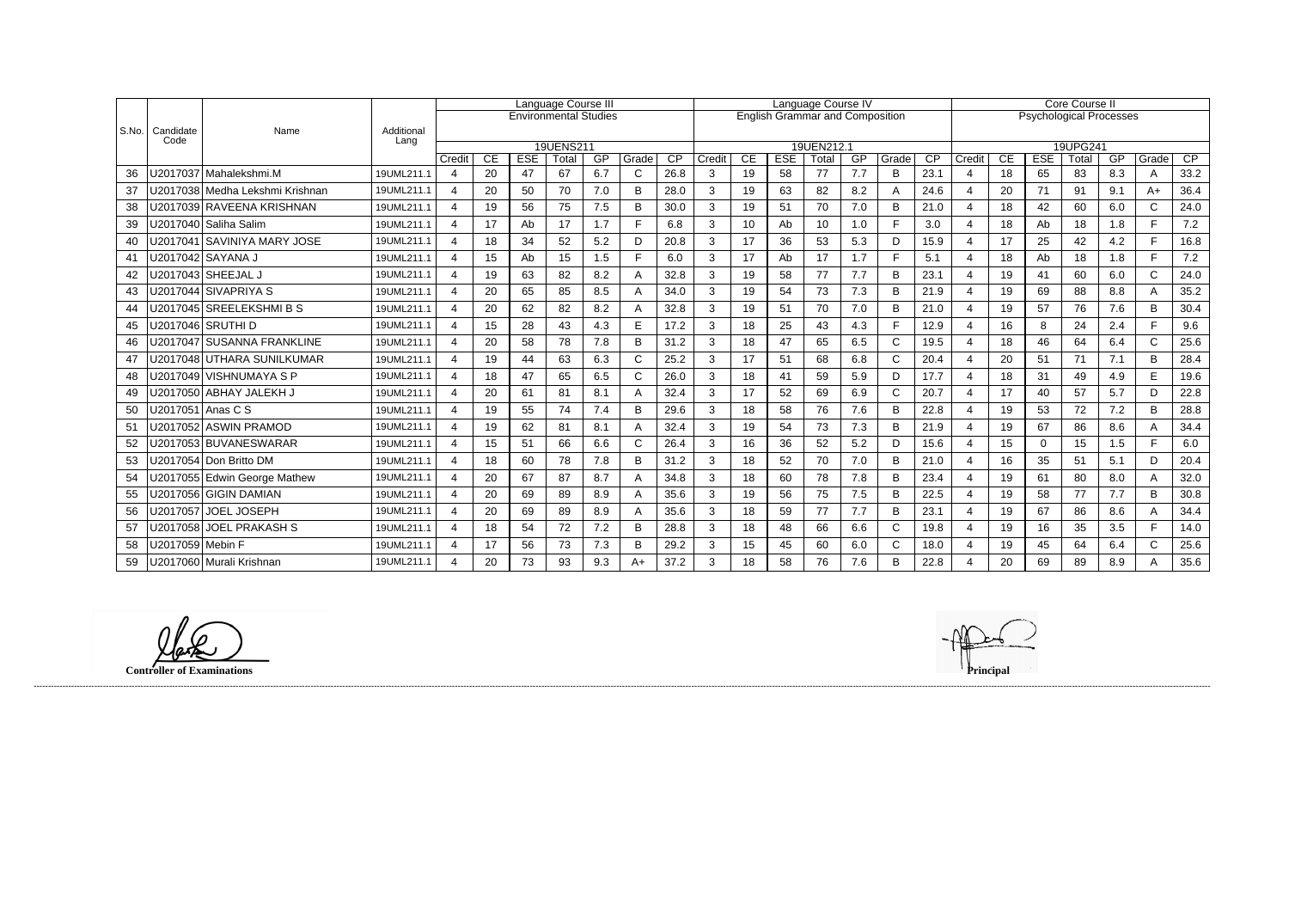|           |                   |                                   |                    | Language Course III      |          |                  |                              |           |            | Language Course IV      |             |          |                  |                                        |           |              | <b>Core Course II</b>   |                          |                                |                  |             |           |              |            |  |
|-----------|-------------------|-----------------------------------|--------------------|--------------------------|----------|------------------|------------------------------|-----------|------------|-------------------------|-------------|----------|------------------|----------------------------------------|-----------|--------------|-------------------------|--------------------------|--------------------------------|------------------|-------------|-----------|--------------|------------|--|
|           |                   |                                   |                    |                          |          |                  | <b>Environmental Studies</b> |           |            |                         |             |          |                  | <b>English Grammar and Composition</b> |           |              |                         |                          | <b>Psychological Processes</b> |                  |             |           |              |            |  |
| l S.No. l | Candidate<br>Code | Name                              | Additional<br>Lang |                          |          |                  |                              |           |            |                         |             |          |                  |                                        |           |              |                         |                          |                                |                  |             |           |              |            |  |
|           |                   |                                   |                    |                          |          |                  | 19UENS211                    |           |            |                         |             |          |                  | 19UEN212.1                             |           |              |                         |                          |                                |                  | 19UPG241    |           |              |            |  |
| 36        |                   | U2017037 Mahalekshmi.M            | 19UML211.1         | Credit<br>$\overline{4}$ | CE<br>20 | <b>ESE</b><br>47 | Total<br>67                  | GP<br>6.7 | Grade<br>C | $\overline{CP}$<br>26.8 | Credit<br>3 | CE<br>19 | <b>ESE</b><br>58 | Total<br>77                            | GP<br>7.7 | Grade<br>B   | $\overline{CP}$<br>23.1 | Credit<br>$\overline{4}$ | CE<br>18                       | <b>ESE</b><br>65 | Total<br>83 | GP<br>8.3 | Grade<br>A   | CP<br>33.2 |  |
|           |                   |                                   |                    |                          |          |                  |                              |           |            |                         |             |          |                  |                                        |           |              |                         |                          |                                |                  |             |           |              |            |  |
| 37        |                   | U2017038   Medha Lekshmi Krishnan | 19UML211.1         | 4                        | 20       | 50               | 70                           | 7.0       | B          | 28.0                    | 3           | 19       | 63               | 82                                     | 8.2       | A            | 24.6                    | $\overline{4}$           | 20                             | 71               | 91          | 9.1       | $A+$         | 36.4       |  |
| 38        |                   | U2017039 RAVEENA KRISHNAN         | 19UML211.1         | 4                        | 19       | 56               | 75                           | 7.5       | B          | 30.0                    | 3           | 19       | 51               | 70                                     | 7.0       | B            | 21.0                    | $\overline{\mathbf{4}}$  | 18                             | 42               | 60          | 6.0       | $\mathsf{C}$ | 24.0       |  |
| 39        |                   | U2017040 Saliha Salim             | 19UML211.1         | $\overline{4}$           | 17       | Ab               | 17                           | 1.7       |            | 6.8                     | 3           | 10       | Ab               | 10                                     | 1.0       | E            | 3.0                     | $\overline{4}$           | 18                             | Ab               | 18          | 1.8       | F.           | 7.2        |  |
| 40        |                   | U2017041   SAVINIYA MARY JOSE     | 19UML211.1         | $\overline{4}$           | 18       | 34               | 52                           | 5.2       | D          | 20.8                    | 3           | 17       | 36               | 53                                     | 5.3       | D            | 15.9                    | $\overline{4}$           | 17                             | 25               | 42          | 4.2       | F.           | 16.8       |  |
| 41        |                   | U2017042 SAYANA J                 | 19UML211.1         | 4                        | 15       | Ab               | 15                           | 1.5       | Е          | 6.0                     | 3           | 17       | Ab               | 17                                     | 1.7       | F            | 5.1                     | $\overline{4}$           | 18                             | Ab               | 18          | 1.8       | F.           | 7.2        |  |
| 42        |                   |                                   | 19UML211.1         | Δ                        | 19       | 63               | 82                           | 8.2       |            | 32.8                    | 3           | 19       | 58               | 77                                     | 7.7       | B            | 23.1                    | $\boldsymbol{\Delta}$    | 19                             | 41               | 60          | 6.0       | $\mathsf{C}$ | 24.0       |  |
| 43        |                   | U2017044 SIVAPRIYA S              | 19UML211.1         | 4                        | 20       | 65               | 85                           | 8.5       |            | 34.0                    | 3           | 19       | 54               | 73                                     | 7.3       | B            | 21.9                    | $\boldsymbol{\Delta}$    | 19                             | 69               | 88          | 8.8       | A            | 35.2       |  |
| 44        |                   | U2017045 SREELEKSHMI B S          | 19UML211.1         | 4                        | 20       | 62               | 82                           | 8.2       |            | 32.8                    | 3           | 19       | 51               | 70                                     | 7.0       | B            | 21.0                    |                          | 19                             | 57               | 76          | 7.6       | B            | 30.4       |  |
| 45        |                   | U2017046   SRUTHI D               | 19UML211.1         | 4                        | 15       | 28               | 43                           | 4.3       | F          | 17.2                    | 3           | 18       | 25               | 43                                     | 4.3       | E            | 12.9                    | $\boldsymbol{\Delta}$    | 16                             | 8                | 24          | 2.4       | F.           | 9.6        |  |
| 46        |                   | U2017047 SUSANNA FRANKLINE        | 19UML211.1         | $\overline{4}$           | 20       | 58               | 78                           | 7.8       | B          | 31.2                    | 3           | 18       | 47               | 65                                     | 6.5       | $\mathsf{C}$ | 19.5                    | $\boldsymbol{\Delta}$    | 18                             | 46               | 64          | 6.4       | $\mathsf{C}$ | 25.6       |  |
| 47        |                   | U2017048 UTHARA SUNILKUMAR        | 19UML211.1         | 4                        | 19       | 44               | 63                           | 6.3       | C          | 25.2                    | 3           | 17       | 51               | 68                                     | 6.8       | $\mathsf{C}$ | 20.4                    |                          | 20                             | 51               | 71          | 7.1       | B            | 28.4       |  |
| 48        |                   | U2017049   VISHNUMAYA S P         | 19UML211.1         | $\overline{4}$           | 18       | 47               | 65                           | 6.5       | C          | 26.0                    | 3           | 18       | 41               | 59                                     | 5.9       | D            | 17.7                    | $\overline{4}$           | 18                             | 31               | 49          | 4.9       | E.           | 19.6       |  |
| 49        |                   | U2017050 ABHAY JALEKH J           | 19UML211.1         | 4                        | 20       | 61               | 81                           | 8.1       |            | 32.4                    | 3           | 17       | 52               | 69                                     | 6.9       | $\mathsf{C}$ | 20.7                    | $\overline{4}$           | 17                             | 40               | 57          | 5.7       | D            | 22.8       |  |
| 50        | U2017051 Anas C S |                                   | 19UML211.1         | 4                        | 19       | 55               | 74                           | 7.4       | B          | 29.6                    | 3           | 18       | 58               | 76                                     | 7.6       | B            | 22.8                    | $\overline{4}$           | 19                             | 53               | 72          | 7.2       | B            | 28.8       |  |
| 51        |                   | U2017052 ASWIN PRAMOD             | 19UML211.1         | 4                        | 19       | 62               | 81                           | 8.1       |            | 32.4                    | 3           | 19       | 54               | 73                                     | 7.3       | B            | 21.9                    |                          | 19                             | 67               | 86          | 8.6       | A            | 34.4       |  |
| 52        |                   | U2017053 BUVANESWARAR             | 19UML211.1         | $\overline{4}$           | 15       | 51               | 66                           | 6.6       | C          | 26.4                    | 3           | 16       | 36               | 52                                     | 5.2       | D            | 15.6                    | $\boldsymbol{\Delta}$    | 15                             | $\mathbf 0$      | 15          | 1.5       | F.           | 6.0        |  |
| 53        |                   | U2017054 Don Britto DM            | 19UML211.1         | $\overline{\mathbf{4}}$  | 18       | 60               | 78                           | 7.8       | B          | 31.2                    | 3           | 18       | 52               | 70                                     | 7.0       | B            | 21.0                    | $\overline{4}$           | 16                             | 35               | 51          | 5.1       | D            | 20.4       |  |
| 54        |                   | U2017055 Edwin George Mathew      | 19UML211.1         | 4                        | 20       | 67               | 87                           | 8.7       |            | 34.8                    | 3           | 18       | 60               | 78                                     | 7.8       | B            | 23.4                    |                          | 19                             | 61               | 80          | 8.0       | A            | 32.0       |  |
| 55        |                   | U2017056 GIGIN DAMIAN             | 19UML211.1         | 4                        | 20       | 69               | 89                           | 8.9       | Α          | 35.6                    | 3           | 19       | 56               | 75                                     | 7.5       | B            | 22.5                    | $\overline{4}$           | 19                             | 58               | 77          | 7.7       | B            | 30.8       |  |
| 56        |                   | U2017057 JOEL JOSEPH              | 19UML211.1         | $\overline{\mathbf{4}}$  | 20       | 69               | 89                           | 8.9       |            | 35.6                    | 3           | 18       | 59               | 77                                     | 7.7       | B            | 23.1                    | $\overline{4}$           | 19                             | 67               | 86          | 8.6       | A            | 34.4       |  |
| 57        |                   | U2017058 JOEL PRAKASH S           | 19UML211.1         | 4                        | 18       | 54               | 72                           | 7.2       | B          | 28.8                    | 3           | 18       | 48               | 66                                     | 6.6       | $\mathsf{C}$ | 19.8                    | $\overline{4}$           | 19                             | 16               | 35          | 3.5       | F.           | 14.0       |  |
| 58        | U2017059 Mebin F  |                                   | 19UML211.1         | $\boldsymbol{\Delta}$    | 17       | 56               | 73                           | 7.3       | B          | 29.2                    | 3           | 15       | 45               | 60                                     | 6.0       | $\mathsf{C}$ | 18.0                    | $\overline{4}$           | 19                             | 45               | 64          | 6.4       | $\mathsf C$  | 25.6       |  |
| 59        |                   | U2017060 Murali Krishnan          | 19UML211.1         | 4                        | 20       | 73               | 93                           | 9.3       | $A+$       | 37.2                    | 3           | 18       | 58               | 76                                     | 7.6       | B            | 22.8                    |                          | 20                             | 69               | 89          | 8.9       | Α            | 35.6       |  |

**Controller of Examinations Principal**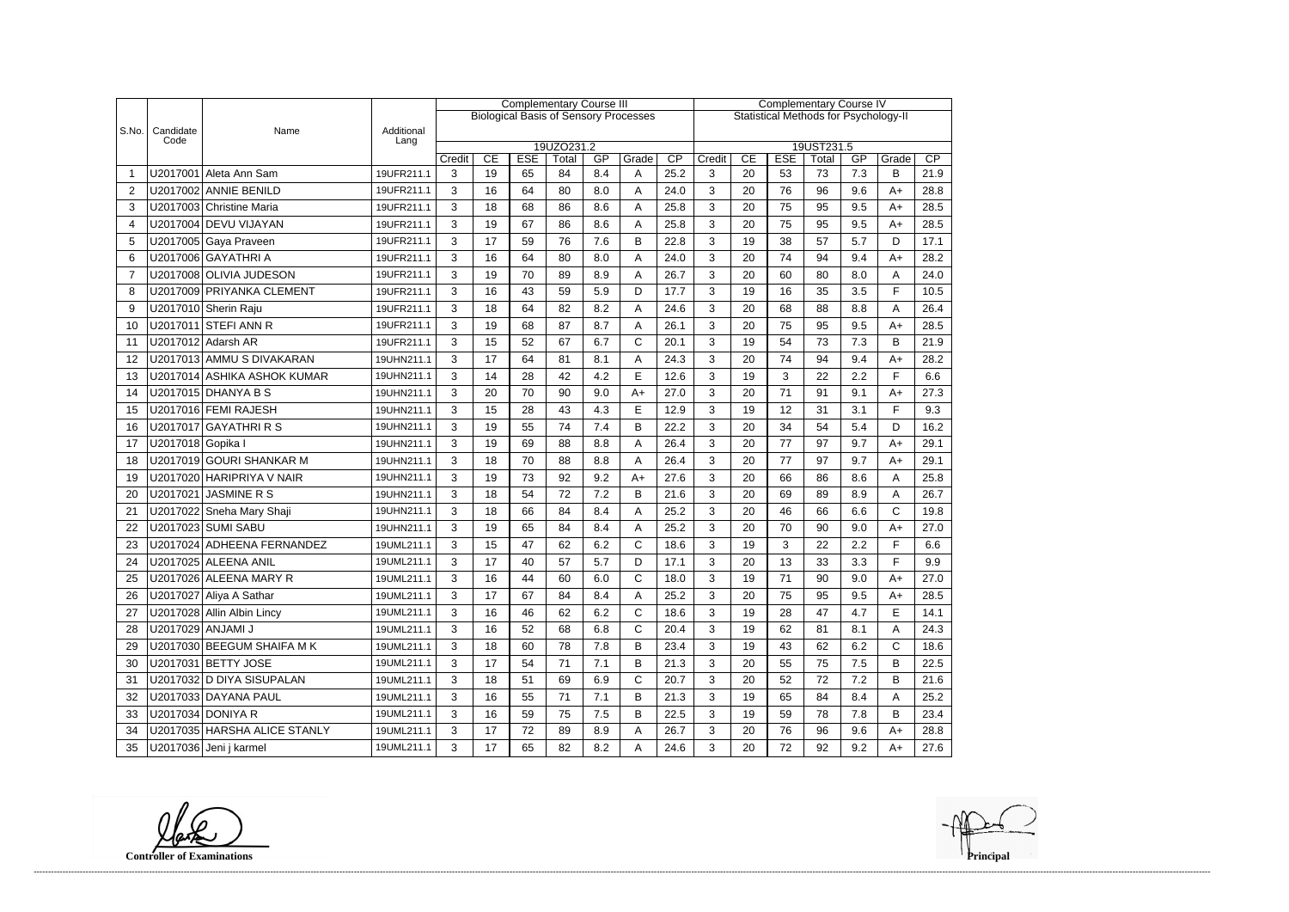|       |                   |                              |                    | <b>Complementary Course III</b> |    |            |                     |     |                                              |                                              | <b>Complementary Course IV</b> |    |            |                     |     |              |      |  |
|-------|-------------------|------------------------------|--------------------|---------------------------------|----|------------|---------------------|-----|----------------------------------------------|----------------------------------------------|--------------------------------|----|------------|---------------------|-----|--------------|------|--|
|       |                   |                              |                    |                                 |    |            |                     |     | <b>Biological Basis of Sensory Processes</b> | <b>Statistical Methods for Psychology-II</b> |                                |    |            |                     |     |              |      |  |
| S.No. | Candidate<br>Code | Name                         | Additional<br>Lang |                                 |    |            |                     |     |                                              |                                              |                                |    |            |                     |     |              |      |  |
|       |                   |                              |                    | Credit                          | CE | <b>ESE</b> | 19UZO231.2<br>Total | GP  | Grade                                        | CP                                           | Credit                         | CE | <b>ESE</b> | 19UST231.5<br>Total | GP  | Grade        | CP   |  |
|       |                   | U2017001 Aleta Ann Sam       | 19UFR211.1         | 3                               | 19 | 65         | 84                  | 8.4 | A                                            | 25.2                                         | 3                              | 20 | 53         | 73                  | 7.3 | В            | 21.9 |  |
| 2     |                   | U2017002 ANNIE BENILD        | 19UFR211.1         | 3                               | 16 | 64         | 80                  | 8.0 | A                                            | 24.0                                         | 3                              | 20 | 76         | 96                  | 9.6 | $A+$         | 28.8 |  |
| 3     |                   | U2017003 Christine Maria     | 19UFR211.1         | 3                               | 18 | 68         | 86                  | 8.6 | Α                                            | 25.8                                         | 3                              | 20 | 75         | 95                  | 9.5 | $A+$         | 28.5 |  |
| 4     |                   | U2017004 DEVU VIJAYAN        | 19UFR211.1         | 3                               | 19 | 67         | 86                  | 8.6 | Α                                            | 25.8                                         | 3                              | 20 | 75         | 95                  | 9.5 | $A+$         | 28.5 |  |
| 5     |                   | U2017005 Gaya Praveen        | 19UFR211.1         | 3                               | 17 | 59         | 76                  | 7.6 | B                                            | 22.8                                         | 3                              | 19 | 38         | 57                  | 5.7 | D            | 17.1 |  |
| 6     |                   | U2017006 GAYATHRI A          | 19UFR211.1         | 3                               | 16 | 64         | 80                  | 8.0 | A                                            | 24.0                                         | 3                              | 20 | 74         | 94                  | 9.4 | $A+$         | 28.2 |  |
| 7     |                   | U2017008 OLIVIA JUDESON      | 19UFR211.1         | 3                               | 19 | 70         | 89                  | 8.9 | Α                                            | 26.7                                         | 3                              | 20 | 60         | 80                  | 8.0 | Α            | 24.0 |  |
| 8     |                   | U2017009 PRIYANKA CLEMENT    | 19UFR211.1         | 3                               | 16 | 43         | 59                  | 5.9 | D                                            | 17.7                                         | 3                              | 19 | 16         | 35                  | 3.5 | F            | 10.5 |  |
| 9     |                   | U2017010 Sherin Raju         | 19UFR211.1         | 3                               | 18 | 64         | 82                  | 8.2 | Α                                            | 24.6                                         | 3                              | 20 | 68         | 88                  | 8.8 | A            | 26.4 |  |
| 10    |                   | U2017011 STEFI ANN R         | 19UFR211.1         | 3                               | 19 | 68         | 87                  | 8.7 | A                                            | 26.1                                         | 3                              | 20 | 75         | 95                  | 9.5 | $A+$         | 28.5 |  |
| 11    |                   | U2017012 Adarsh AR           | 19UFR211.1         | 3                               | 15 | 52         | 67                  | 6.7 | $\mathsf{C}$                                 | 20.1                                         | 3                              | 19 | 54         | 73                  | 7.3 | B            | 21.9 |  |
| 12    |                   | U2017013 AMMU S DIVAKARAN    | 19UHN211.1         | 3                               | 17 | 64         | 81                  | 8.1 | Α                                            | 24.3                                         | 3                              | 20 | 74         | 94                  | 9.4 | $A+$         | 28.2 |  |
| 13    |                   | U2017014 ASHIKA ASHOK KUMAR  | 19UHN211.1         | 3                               | 14 | 28         | 42                  | 4.2 | E                                            | 12.6                                         | 3                              | 19 | 3          | 22                  | 2.2 | F            | 6.6  |  |
|       |                   | U2017015 DHANYA B S          |                    |                                 | 20 | 70         | 90                  |     |                                              |                                              | 3                              | 20 | 71         | 91                  | 9.1 |              | 27.3 |  |
| 14    |                   | U2017016 FEMI RAJESH         | 19UHN211.1         | 3                               |    |            |                     | 9.0 | $A+$                                         | 27.0                                         |                                |    |            |                     |     | $A+$<br>F    |      |  |
| 15    |                   |                              | 19UHN211.1         | 3                               | 15 | 28         | 43                  | 4.3 | E                                            | 12.9                                         | 3                              | 19 | 12         | 31                  | 3.1 |              | 9.3  |  |
| 16    |                   | U2017017 GAYATHRIRS          | 19UHN211.1         | 3                               | 19 | 55         | 74                  | 7.4 | B                                            | 22.2                                         | 3                              | 20 | 34         | 54                  | 5.4 | D            | 16.2 |  |
| 17    | U2017018 Gopika I |                              | 19UHN211.1         | 3                               | 19 | 69         | 88                  | 8.8 | Α                                            | 26.4                                         | 3                              | 20 | 77         | 97                  | 9.7 | $A+$         | 29.1 |  |
| 18    |                   | U2017019 GOURI SHANKAR M     | 19UHN211.1         | 3                               | 18 | 70         | 88                  | 8.8 | Α                                            | 26.4                                         | 3                              | 20 | 77         | 97                  | 9.7 | $A+$         | 29.1 |  |
| 19    |                   | U2017020 HARIPRIYA V NAIR    | 19UHN211.1         | 3                               | 19 | 73         | 92                  | 9.2 | $A+$                                         | 27.6                                         | 3                              | 20 | 66         | 86                  | 8.6 | Α            | 25.8 |  |
| 20    |                   | U2017021 JASMINE R S         | 19UHN211.1         | 3                               | 18 | 54         | 72                  | 7.2 | B                                            | 21.6                                         | 3                              | 20 | 69         | 89                  | 8.9 | A            | 26.7 |  |
| 21    |                   | U2017022 Sneha Mary Shaji    | 19UHN211.1         | 3                               | 18 | 66         | 84                  | 8.4 | A                                            | 25.2                                         | 3                              | 20 | 46         | 66                  | 6.6 | C            | 19.8 |  |
| 22    |                   | U2017023 SUMI SABU           | 19UHN211.1         | 3                               | 19 | 65         | 84                  | 8.4 | Α                                            | 25.2                                         | 3                              | 20 | 70         | 90                  | 9.0 | $A+$         | 27.0 |  |
| 23    |                   | U2017024 ADHEENA FERNANDEZ   | 19UML211.1         | 3                               | 15 | 47         | 62                  | 6.2 | $\mathsf{C}$                                 | 18.6                                         | 3                              | 19 | 3          | 22                  | 2.2 | F            | 6.6  |  |
| 24    |                   | U2017025 ALEENA ANIL         | 19UML211.1         | 3                               | 17 | 40         | 57                  | 5.7 | D                                            | 17.1                                         | 3                              | 20 | 13         | 33                  | 3.3 | E            | 9.9  |  |
| 25    |                   | U2017026 ALEENA MARY R       | 19UML211.1         | 3                               | 16 | 44         | 60                  | 6.0 | $\cap$                                       | 18.0                                         | 3                              | 19 | 71         | 90                  | 9 O | A+           | 27.0 |  |
| 26    |                   | U2017027 Aliya A Sathar      | 19UML211.1         | 3                               | 17 | 67         | 84                  | 8.4 | A                                            | 25.2                                         | 3                              | 20 | 75         | 95                  | 9.5 | $A+$         | 28.5 |  |
| 27    |                   | U2017028 Allin Albin Lincy   | 19UML211.1         | 3                               | 16 | 46         | 62                  | 6.2 | $\mathsf{C}$                                 | 18.6                                         | 3                              | 19 | 28         | 47                  | 4.7 | E            | 14.1 |  |
| 28    |                   | U2017029 ANJAMI J            | 19UML211.1         | 3                               | 16 | 52         | 68                  | 6.8 | C                                            | 20.4                                         | 3                              | 19 | 62         | 81                  | 8.1 | Α            | 24.3 |  |
| 29    |                   | U2017030 BEEGUM SHAIFA MK    | 19UML211.1         | 3                               | 18 | 60         | 78                  | 7.8 | B                                            | 23.4                                         | 3                              | 19 | 43         | 62                  | 6.2 | $\mathsf{C}$ | 18.6 |  |
| 30    |                   | U2017031 BETTY JOSE          | 19UML211.1         | 3                               | 17 | 54         | 71                  | 7.1 | B                                            | 21.3                                         | 3                              | 20 | 55         | 75                  | 7.5 | B            | 22.5 |  |
| 31    |                   | U2017032 D DIYA SISUPALAN    | 19UML211.1         | 3                               | 18 | 51         | 69                  | 6.9 | $\mathsf{C}$                                 | 20.7                                         | 3                              | 20 | 52         | 72                  | 7.2 | B            | 21.6 |  |
| 32    |                   | U2017033 DAYANA PAUL         | 19UML211.1         | 3                               | 16 | 55         | 71                  | 7.1 | B                                            | 21.3                                         | 3                              | 19 | 65         | 84                  | 8.4 | A            | 25.2 |  |
| 33    |                   | U2017034 DONIYA R            | 19UML211.1         | 3                               | 16 | 59         | 75                  | 7.5 | B                                            | 22.5                                         | 3                              | 19 | 59         | 78                  | 7.8 | В            | 23.4 |  |
| 34    |                   | U2017035 HARSHA ALICE STANLY | 19UML211.1         | 3                               | 17 | 72         | 89                  | 8.9 | Α                                            | 26.7                                         | 3                              | 20 | 76         | 96                  | 9.6 | A+           | 28.8 |  |
| 35    |                   | U2017036 Jeni j karmel       | 19UML211.1         | 3                               | 17 | 65         | 82                  | 8.2 | A                                            | 24.6                                         | 3                              | 20 | 72         | 92                  | 9.2 | A+           | 27.6 |  |

**Controller of Examinations** 

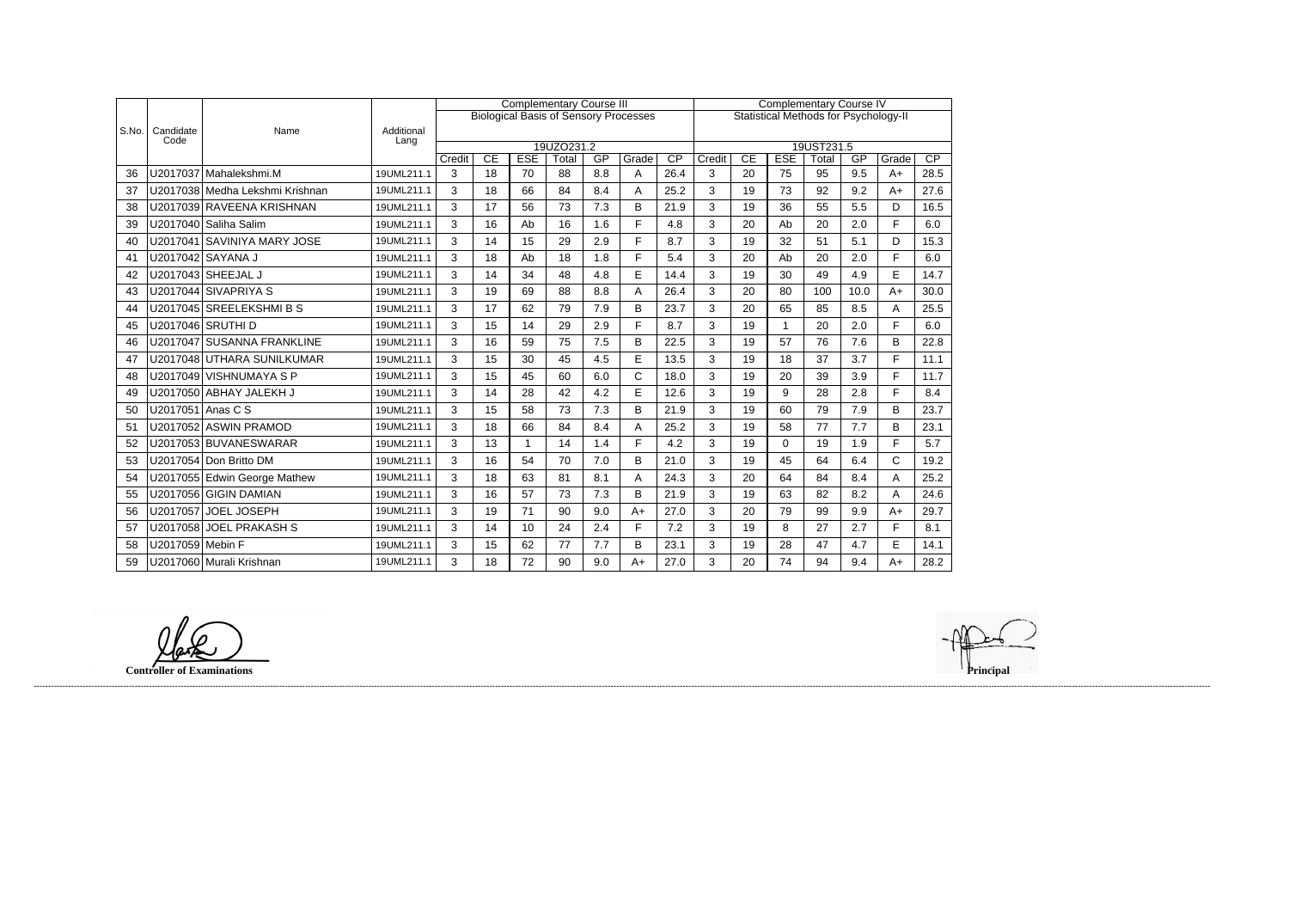|       |                   |                                 |                    |                                                                                              |    | <b>Complementary Course III</b> |            |     | <b>Complementary Course IV</b> |                 |        |    |             |            |      |             |      |
|-------|-------------------|---------------------------------|--------------------|----------------------------------------------------------------------------------------------|----|---------------------------------|------------|-----|--------------------------------|-----------------|--------|----|-------------|------------|------|-------------|------|
|       |                   |                                 |                    | <b>Biological Basis of Sensory Processes</b><br><b>Statistical Methods for Psychology-II</b> |    |                                 |            |     |                                |                 |        |    |             |            |      |             |      |
| S.No. | Candidate<br>Code | Name                            | Additional<br>Lang |                                                                                              |    |                                 |            |     |                                |                 |        |    |             |            |      |             |      |
|       |                   |                                 |                    |                                                                                              |    |                                 | 19UZO231.2 |     |                                |                 |        |    |             | 19UST231.5 |      |             |      |
|       |                   |                                 |                    | Credit                                                                                       | CE | <b>ESE</b>                      | Total      | GP  | Grade                          | $\overline{CP}$ | Credit | CE | <b>ESE</b>  | Total      | GP   | Grade       | CP   |
| 36    |                   | U2017037 Mahalekshmi.M          | 19UML211.1         | 3                                                                                            | 18 | 70                              | 88         | 8.8 | Α                              | 26.4            | 3      | 20 | 75          | 95         | 9.5  | $A+$        | 28.5 |
| 37    |                   | U2017038 Medha Lekshmi Krishnan | 19UML211.1         | 3                                                                                            | 18 | 66                              | 84         | 8.4 | Α                              | 25.2            | 3      | 19 | 73          | 92         | 9.2  | $A+$        | 27.6 |
| 38    |                   | U2017039 RAVEENA KRISHNAN       | 19UML211.1         | 3                                                                                            | 17 | 56                              | 73         | 7.3 | B                              | 21.9            | 3      | 19 | 36          | 55         | 5.5  | D           | 16.5 |
| 39    |                   | U2017040 Saliha Salim           | 19UML211.1         | 3                                                                                            | 16 | Ab                              | 16         | 1.6 | F                              | 4.8             | 3      | 20 | Ab          | 20         | 2.0  | F           | 6.0  |
| 40    |                   | U2017041 SAVINIYA MARY JOSE     | 19UML211.1         | 3                                                                                            | 14 | 15                              | 29         | 2.9 | F                              | 8.7             | 3      | 19 | 32          | 51         | 5.1  | D           | 15.3 |
| 41    |                   | U2017042 SAYANA J               | 19UML211.1         | 3                                                                                            | 18 | Ab                              | 18         | 1.8 | F                              | 5.4             | 3      | 20 | Ab          | 20         | 2.0  | F.          | 6.0  |
| 42    |                   |                                 | 19UML211.1         | 3                                                                                            | 14 | 34                              | 48         | 4.8 | E                              | 14.4            | 3      | 19 | 30          | 49         | 4.9  | E           | 14.7 |
| 43    |                   | U2017044 SIVAPRIYA S            | 19UML211.1         | $\mathbf{3}$                                                                                 | 19 | 69                              | 88         | 8.8 | Α                              | 26.4            | 3      | 20 | 80          | 100        | 10.0 | $A+$        | 30.0 |
| 44    |                   | U2017045 SREELEKSHMIBS          | 19UML211.1         | 3                                                                                            | 17 | 62                              | 79         | 7.9 | B                              | 23.7            | 3      | 20 | 65          | 85         | 8.5  | A           | 25.5 |
| 45    |                   | U2017046   SRUTHI D             | 19UML211.1         | 3                                                                                            | 15 | 14                              | 29         | 2.9 | E                              | 8.7             | 3      | 19 | 1           | 20         | 2.0  | F           | 6.0  |
| 46    |                   | U2017047 SUSANNA FRANKLINE      | 19UML211.1         | 3                                                                                            | 16 | 59                              | 75         | 7.5 | B                              | 22.5            | 3      | 19 | 57          | 76         | 7.6  | B           | 22.8 |
| 47    |                   | U2017048 UTHARA SUNILKUMAR      | 19UML211.1         | 3                                                                                            | 15 | 30                              | 45         | 4.5 | E                              | 13.5            | 3      | 19 | 18          | 37         | 3.7  | F.          | 11.1 |
| 48    |                   | U2017049 VISHNUMAYA S P         | 19UML211.1         | 3                                                                                            | 15 | 45                              | 60         | 6.0 | C                              | 18.0            | 3      | 19 | 20          | 39         | 3.9  | F           | 11.7 |
| 49    |                   | U2017050 ABHAY JALEKH J         | 19UML211.1         | 3                                                                                            | 14 | 28                              | 42         | 4.2 | E                              | 12.6            | 3      | 19 | 9           | 28         | 2.8  | F           | 8.4  |
| 50    | U2017051 Anas C S |                                 | 19UML211.1         | 3                                                                                            | 15 | 58                              | 73         | 7.3 | B                              | 21.9            | 3      | 19 | 60          | 79         | 7.9  | B           | 23.7 |
| 51    |                   | U2017052 ASWIN PRAMOD           | 19UML211.1         | 3                                                                                            | 18 | 66                              | 84         | 8.4 | A                              | 25.2            | 3      | 19 | 58          | 77         | 7.7  | B           | 23.1 |
| 52    |                   | U2017053 BUVANESWARAR           | 19UML211.1         | 3                                                                                            | 13 | 1                               | 14         | 1.4 | F                              | 4.2             | 3      | 19 | $\mathbf 0$ | 19         | 1.9  | F           | 5.7  |
| 53    |                   | U2017054 Don Britto DM          | 19UML211.1         | 3                                                                                            | 16 | 54                              | 70         | 7.0 | B                              | 21.0            | 3      | 19 | 45          | 64         | 6.4  | $\mathsf C$ | 19.2 |
| 54    |                   | U2017055 Edwin George Mathew    | 19UML211.1         | 3                                                                                            | 18 | 63                              | 81         | 8.1 | Α                              | 24.3            | 3      | 20 | 64          | 84         | 8.4  | Α           | 25.2 |
| 55    |                   | U2017056 GIGIN DAMIAN           | 19UML211.1         | 3                                                                                            | 16 | 57                              | 73         | 7.3 | B                              | 21.9            | 3      | 19 | 63          | 82         | 8.2  | A           | 24.6 |
| 56    | U2017057          | <b>JOEL JOSEPH</b>              | 19UML211.1         | 3                                                                                            | 19 | 71                              | 90         | 9.0 | $A+$                           | 27.0            | 3      | 20 | 79          | 99         | 9.9  | $A+$        | 29.7 |
| 57    | U2017058          | <b>JOEL PRAKASH S</b>           | 19UML211.1         | 3                                                                                            | 14 | 10                              | 24         | 2.4 | F                              | 7.2             | 3      | 19 | 8           | 27         | 2.7  | F           | 8.1  |
| 58    | U2017059 Mebin F  |                                 | 19UML211.1         | 3                                                                                            | 15 | 62                              | 77         | 7.7 | B                              | 23.1            | 3      | 19 | 28          | 47         | 4.7  | E           | 14.1 |
| 59    |                   | U2017060 Murali Krishnan        | 19UML211.1         | 3                                                                                            | 18 | 72                              | 90         | 9.0 | $A+$                           | 27.0            | 3      | 20 | 74          | 94         | 9.4  | $A+$        | 28.2 |

fate

**Controller of Examinations**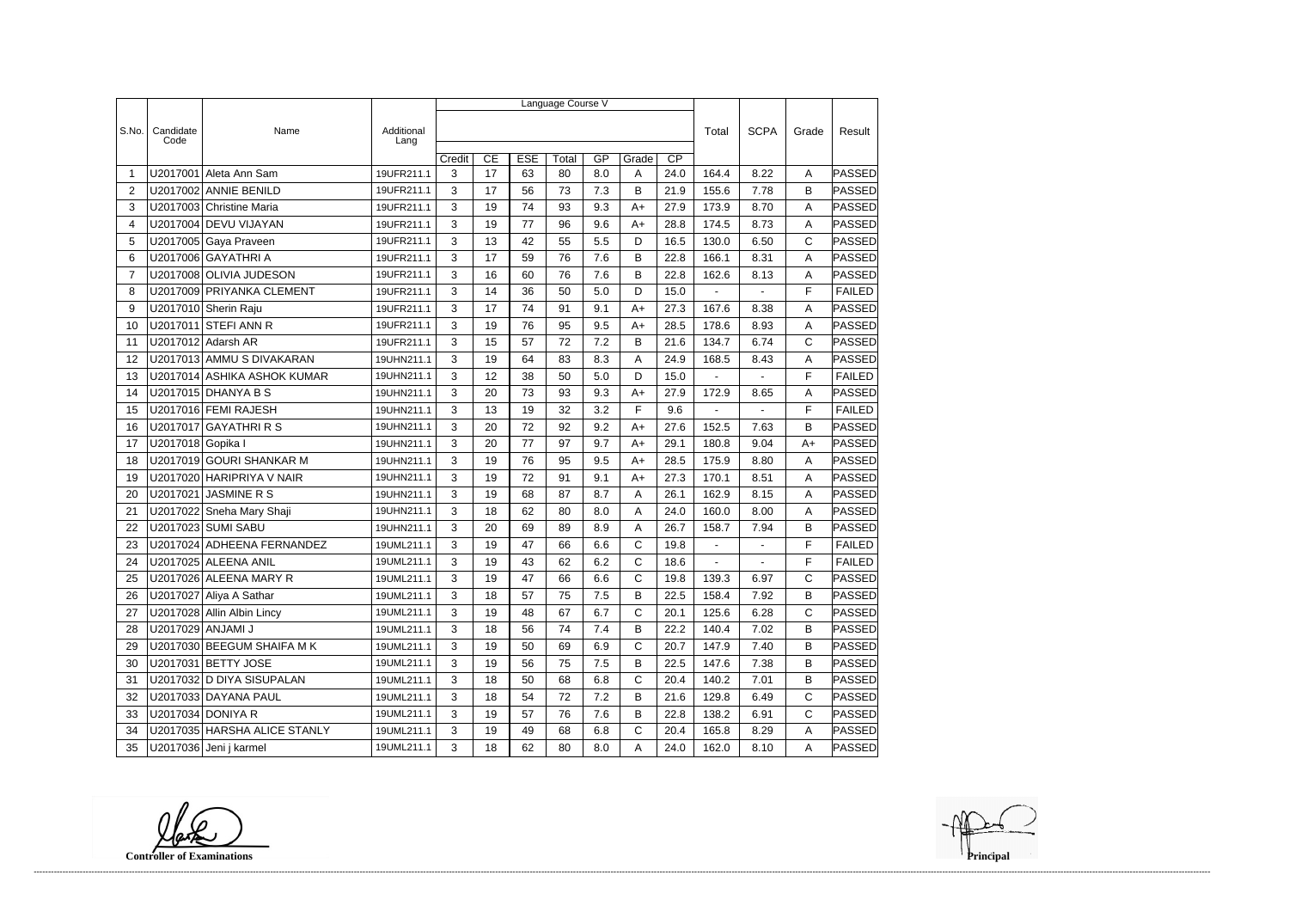|                |                   |                              |                    | Language Course V |    |            |       |     |              |                 |                          |                |              |               |  |
|----------------|-------------------|------------------------------|--------------------|-------------------|----|------------|-------|-----|--------------|-----------------|--------------------------|----------------|--------------|---------------|--|
|                |                   |                              |                    |                   |    |            |       |     |              |                 |                          |                |              |               |  |
| S.No.          | Candidate<br>Code | Name                         | Additional<br>Lang |                   |    |            |       |     |              |                 | Total                    | <b>SCPA</b>    | Grade        | Result        |  |
|                |                   |                              |                    | Credit            | CE | <b>ESE</b> | Total | GP  | Grade        | $\overline{CP}$ |                          |                |              |               |  |
| -1             | U2017001          | Aleta Ann Sam                | 19UFR211.1         | 3                 | 17 | 63         | 80    | 8.0 | Α            | 24.0            | 164.4                    | 8.22           | A            | PASSED        |  |
| $\overline{2}$ |                   | U2017002 ANNIE BENILD        | 19UFR211.1         | 3                 | 17 | 56         | 73    | 7.3 | B            | 21.9            | 155.6                    | 7.78           | B            | PASSED        |  |
| 3              |                   | U2017003 Christine Maria     | 19UFR211.1         | 3                 | 19 | 74         | 93    | 9.3 | $A+$         | 27.9            | 173.9                    | 8.70           | A            | PASSED        |  |
| 4              |                   | U2017004 DEVU VIJAYAN        | 19UFR211.1         | 3                 | 19 | 77         | 96    | 9.6 | $A+$         | 28.8            | 174.5                    | 8.73           | A            | PASSED        |  |
| 5              |                   | U2017005 Gaya Praveen        | 19UFR211.1         | 3                 | 13 | 42         | 55    | 5.5 | D            | 16.5            | 130.0                    | 6.50           | $\mathsf{C}$ | PASSED        |  |
| 6              |                   | U2017006 GAYATHRI A          | 19UFR211.1         | 3                 | 17 | 59         | 76    | 7.6 | B            | 22.8            | 166.1                    | 8.31           | A            | PASSED        |  |
| $\overline{7}$ |                   | U2017008 OLIVIA JUDESON      | 19UFR211.1         | 3                 | 16 | 60         | 76    | 7.6 | B            | 22.8            | 162.6                    | 8.13           | A            | <b>PASSED</b> |  |
| 8              |                   | U2017009 PRIYANKA CLEMENT    | 19UFR211.1         | 3                 | 14 | 36         | 50    | 5.0 | D            | 15.0            | $\overline{\phantom{a}}$ | ÷,             | F            | <b>FAILED</b> |  |
| 9              |                   | U2017010 Sherin Raju         | 19UFR211.1         | 3                 | 17 | 74         | 91    | 9.1 | $A+$         | 27.3            | 167.6                    | 8.38           | A            | PASSED        |  |
| 10             |                   | U2017011 STEFI ANN R         | 19UFR211.1         | 3                 | 19 | 76         | 95    | 9.5 | $A+$         | 28.5            | 178.6                    | 8.93           | A            | PASSED        |  |
| 11             |                   | U2017012 Adarsh AR           | 19UFR211.1         | 3                 | 15 | 57         | 72    | 7.2 | B            | 21.6            | 134.7                    | 6.74           | C            | PASSED        |  |
| 12             |                   | U2017013 AMMU S DIVAKARAN    | 19UHN211.1         | 3                 | 19 | 64         | 83    | 8.3 | Α            | 24.9            | 168.5                    | 8.43           | A            | <b>PASSED</b> |  |
| 13             |                   | U2017014 ASHIKA ASHOK KUMAR  | 19UHN211.1         | 3                 | 12 | 38         | 50    | 5.0 | D            | 15.0            | $\blacksquare$           |                | F            | <b>FAILED</b> |  |
| 14             |                   | U2017015 DHANYA B S          | 19UHN211.1         | 3                 | 20 | 73         | 93    | 9.3 | $A+$         | 27.9            | 172.9                    | 8.65           | A            | PASSED        |  |
| 15             |                   | U2017016 FEMI RAJESH         | 19UHN211.1         | 3                 | 13 | 19         | 32    | 3.2 | F            | 9.6             | $\blacksquare$           | $\blacksquare$ | F            | <b>FAILED</b> |  |
| 16             |                   | U2017017 GAYATHRIRS          | 19UHN211.1         | 3                 | 20 | 72         | 92    | 9.2 | $A+$         | 27.6            | 152.5                    | 7.63           | B            | PASSED        |  |
| 17             | U2017018 Gopika I |                              | 19UHN211.1         | 3                 | 20 | 77         | 97    | 9.7 | $A+$         | 29.1            | 180.8                    | 9.04           | $A+$         | PASSED        |  |
| 18             |                   | U2017019 GOURI SHANKAR M     | 19UHN211.1         | 3                 | 19 | 76         | 95    | 9.5 | $A+$         | 28.5            | 175.9                    | 8.80           | A            | <b>PASSED</b> |  |
| 19             |                   | U2017020 HARIPRIYA V NAIR    | 19UHN211.1         | 3                 | 19 | 72         | 91    | 9.1 | $A+$         | 27.3            | 170.1                    | 8.51           | A            | PASSED        |  |
| 20             | U2017021          | JASMINE R S                  | 19UHN211.1         | 3                 | 19 | 68         | 87    | 8.7 | Α            | 26.1            | 162.9                    | 8.15           | A            | PASSED        |  |
| 21             |                   | U2017022 Sneha Mary Shaji    | 19UHN211.1         | 3                 | 18 | 62         | 80    | 8.0 | A            | 24.0            | 160.0                    | 8.00           | A            | PASSED        |  |
| 22             |                   | U2017023 SUMI SABU           | 19UHN211.1         | 3                 | 20 | 69         | 89    | 8.9 | Α            | 26.7            | 158.7                    | 7.94           | B            | <b>PASSED</b> |  |
| 23             |                   | U2017024 ADHEENA FERNANDEZ   | 19UML211.1         | 3                 | 19 | 47         | 66    | 6.6 | C            | 19.8            | $\blacksquare$           | ÷,             | F            | <b>FAILED</b> |  |
| 24             |                   | U2017025 ALEENA ANIL         | 19UML211.1         | 3                 | 19 | 43         | 62    | 6.2 | $\mathsf{C}$ | 18.6            |                          |                | F            | <b>FAILED</b> |  |
| 25             |                   | U2017026 ALEENA MARY R       | 19UML211.1         | 3                 | 19 | 47         | 66    | 6.6 | C            | 19.8            | 139.3                    | 6.97           | С            | <b>PASSED</b> |  |
| 26             |                   | U2017027 Aliya A Sathar      | 19UML211.1         | 3                 | 18 | 57         | 75    | 7.5 | B            | 22.5            | 158.4                    | 7.92           | B            | <b>PASSED</b> |  |
| 27             |                   | U2017028 Allin Albin Lincy   | 19UML211.1         | 3                 | 19 | 48         | 67    | 6.7 | $\mathsf{C}$ | 20.1            | 125.6                    | 6.28           | $\mathbf C$  | <b>PASSED</b> |  |
| 28             | U2017029 ANJAMI J |                              | 19UML211.1         | 3                 | 18 | 56         | 74    | 7.4 | B            | 22.2            | 140.4                    | 7.02           | B            | PASSED        |  |
| 29             |                   | U2017030 BEEGUM SHAIFA M K   | 19UML211.1         | 3                 | 19 | 50         | 69    | 6.9 | $\mathsf{C}$ | 20.7            | 147.9                    | 7.40           | B            | PASSED        |  |
| 30             |                   | U2017031 BETTY JOSE          | 19UML211.1         | 3                 | 19 | 56         | 75    | 7.5 | B            | 22.5            | 147.6                    | 7.38           | B            | PASSED        |  |
| 31             |                   | U2017032 D DIYA SISUPALAN    | 19UML211.1         | 3                 | 18 | 50         | 68    | 6.8 | С            | 20.4            | 140.2                    | 7.01           | B            | PASSED        |  |
| 32             |                   | U2017033 DAYANA PAUL         | 19UML211.1         | 3                 | 18 | 54         | 72    | 7.2 | B            | 21.6            | 129.8                    | 6.49           | $\mathsf{C}$ | <b>PASSED</b> |  |
| 33             |                   | U2017034 DONIYA R            | 19UML211.1         | 3                 | 19 | 57         | 76    | 7.6 | B            | 22.8            | 138.2                    | 6.91           | C            | <b>PASSED</b> |  |
| 34             |                   | U2017035 HARSHA ALICE STANLY | 19UML211.1         | 3                 | 19 | 49         | 68    | 6.8 | C            | 20.4            | 165.8                    | 8.29           | A            | <b>PASSED</b> |  |
| 35             |                   | U2017036 Jeni j karmel       | 19UML211.1         | 3                 | 18 | 62         | 80    | 8.0 | A            | 24.0            | 162.0                    | 8.10           | A            | <b>PASSED</b> |  |

**Controller of Examinations**